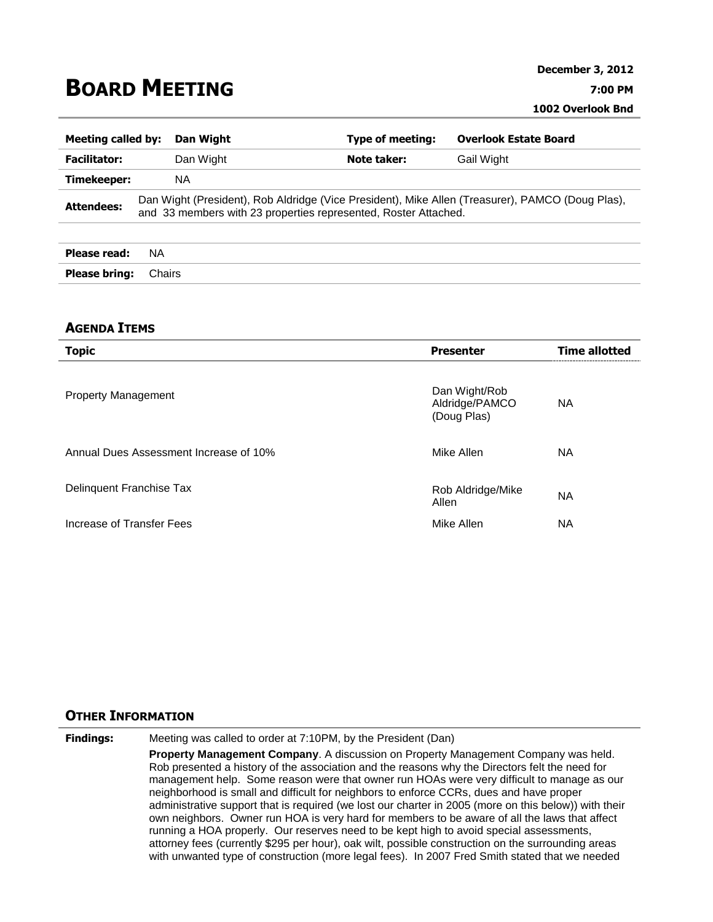## **BOARD MEETING**

| Meeting called by:  |    | Dan Wight                                                                                                                                                           | <b>Type of meeting:</b> | <b>Overlook Estate Board</b> |  |  |
|---------------------|----|---------------------------------------------------------------------------------------------------------------------------------------------------------------------|-------------------------|------------------------------|--|--|
| <b>Facilitator:</b> |    | Dan Wight                                                                                                                                                           | Note taker:             | <b>Gail Wight</b>            |  |  |
| Timekeeper:         |    | NA.                                                                                                                                                                 |                         |                              |  |  |
| <b>Attendees:</b>   |    | Dan Wight (President), Rob Aldridge (Vice President), Mike Allen (Treasurer), PAMCO (Doug Plas),<br>and 33 members with 23 properties represented, Roster Attached. |                         |                              |  |  |
|                     |    |                                                                                                                                                                     |                         |                              |  |  |
| Please read:        | NА |                                                                                                                                                                     |                         |                              |  |  |

## **AGENDA ITEMS**

**Please bring:** Chairs

| <b>Topic</b>                           | <b>Presenter</b>                               | <b>Time allotted</b> |
|----------------------------------------|------------------------------------------------|----------------------|
| <b>Property Management</b>             | Dan Wight/Rob<br>Aldridge/PAMCO<br>(Doug Plas) | <b>NA</b>            |
| Annual Dues Assessment Increase of 10% | Mike Allen                                     | NA.                  |
| Delinquent Franchise Tax               | Rob Aldridge/Mike<br>Allen                     | <b>NA</b>            |
| Increase of Transfer Fees              | Mike Allen                                     | NA                   |

## **OTHER INFORMATION**

**Findings:** Meeting was called to order at 7:10PM, by the President (Dan) **Property Management Company**. A discussion on Property Management Company was held. Rob presented a history of the association and the reasons why the Directors felt the need for management help. Some reason were that owner run HOAs were very difficult to manage as our neighborhood is small and difficult for neighbors to enforce CCRs, dues and have proper administrative support that is required (we lost our charter in 2005 (more on this below)) with their own neighbors. Owner run HOA is very hard for members to be aware of all the laws that affect running a HOA properly. Our reserves need to be kept high to avoid special assessments, attorney fees (currently \$295 per hour), oak wilt, possible construction on the surrounding areas with unwanted type of construction (more legal fees). In 2007 Fred Smith stated that we needed